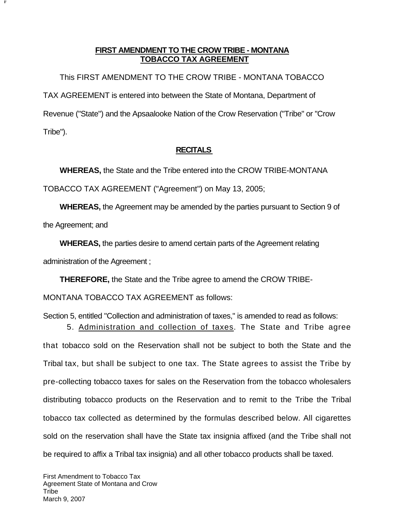## **FIRST AMENDMENT TO THE CROW TRIBE - MONTANA TOBACCO TAX AGREEMENT**

This FIRST AMENDMENT TO THE CROW TRIBE - MONTANA TOBACCO TAX AGREEMENT is entered into between the State of Montana, Department of Revenue ("State") and the Apsaalooke Nation of the Crow Reservation ("Tribe" or "Crow Tribe").

## **RECITALS**

**WHEREAS,** the State and the Tribe entered into the CROW TRIBE-MONTANA

TOBACCO TAX AGREEMENT ("Agreement") on May 13, 2005;

**F**

**WHEREAS,** the Agreement may be amended by the parties pursuant to Section 9 of the Agreement; and

**WHEREAS,** the parties desire to amend certain parts of the Agreement relating administration of the Agreement ;

**THEREFORE,** the State and the Tribe agree to amend the CROW TRIBE-

MONTANA TOBACCO TAX AGREEMENT as follows:

Section 5, entitled "Collection and administration of taxes," is amended to read as follows:

5. Administration and collection of taxes. The State and Tribe agree that tobacco sold on the Reservation shall not be subject to both the State and the Tribal tax, but shall be subject to one tax. The State agrees to assist the Tribe by pre-collecting tobacco taxes for sales on the Reservation from the tobacco wholesalers distributing tobacco products on the Reservation and to remit to the Tribe the Tribal tobacco tax collected as determined by the formulas described below. All cigarettes sold on the reservation shall have the State tax insignia affixed (and the Tribe shall not be required to affix a Tribal tax insignia) and all other tobacco products shall be taxed.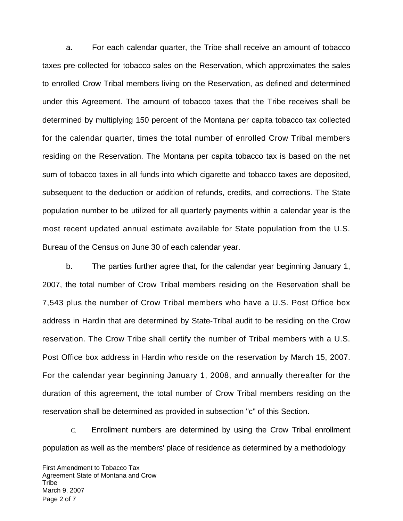a. For each calendar quarter, the Tribe shall receive an amount of tobacco taxes pre-collected for tobacco sales on the Reservation, which approximates the sales to enrolled Crow Tribal members living on the Reservation, as defined and determined under this Agreement. The amount of tobacco taxes that the Tribe receives shall be determined by multiplying 150 percent of the Montana per capita tobacco tax collected for the calendar quarter, times the total number of enrolled Crow Tribal members residing on the Reservation. The Montana per capita tobacco tax is based on the net sum of tobacco taxes in all funds into which cigarette and tobacco taxes are deposited, subsequent to the deduction or addition of refunds, credits, and corrections. The State population number to be utilized for all quarterly payments within a calendar year is the most recent updated annual estimate available for State population from the U.S. Bureau of the Census on June 30 of each calendar year.

b. The parties further agree that, for the calendar year beginning January 1, 2007, the total number of Crow Tribal members residing on the Reservation shall be 7,543 plus the number of Crow Tribal members who have a U.S. Post Office box address in Hardin that are determined by State-Tribal audit to be residing on the Crow reservation. The Crow Tribe shall certify the number of Tribal members with a U.S. Post Office box address in Hardin who reside on the reservation by March 15, 2007. For the calendar year beginning January 1, 2008, and annually thereafter for the duration of this agreement, the total number of Crow Tribal members residing on the reservation shall be determined as provided in subsection "c" of this Section.

C. Enrollment numbers are determined by using the Crow Tribal enrollment population as well as the members' place of residence as determined by a methodology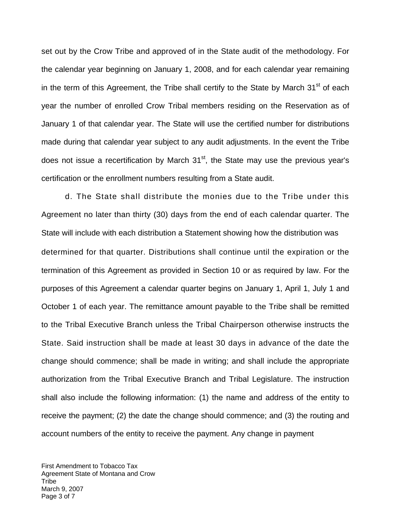set out by the Crow Tribe and approved of in the State audit of the methodology. For the calendar year beginning on January 1, 2008, and for each calendar year remaining in the term of this Agreement, the Tribe shall certify to the State by March  $31<sup>st</sup>$  of each year the number of enrolled Crow Tribal members residing on the Reservation as o f January 1 of that calendar year. The State will use the certified number for distributions made during that calendar year subject to any audit adjustments. In the event the Tribe does not issue a recertification by March 31<sup>st</sup>, the State may use the previous year's certification or the enrollment numbers resulting from a State audit.

d. The State shall distribute the monies due to the Tribe under this Agreement no later than thirty (30) days from the end of each calendar quarter. The State will include with each distribution a Statement showing how the distribution was determined for that quarter. Distributions shall continue until the expiration or the termination of this Agreement as provided in Section 10 or as required by law. For the purposes of this Agreement a calendar quarter begins on January 1, April 1, July 1 and October 1 of each year. The remittance amount payable to the Tribe shall be remitted to the Tribal Executive Branch unless the Tribal Chairperson otherwise instructs the State. Said instruction shall be made at least 30 days in advance of the date the change should commence; shall be made in writing; and shall include the appropriate authorization from the Tribal Executive Branch and Tribal Legislature. The instruction shall also include the following information: (1) the name and address of the entity to receive the payment; (2) the date the change should commence; and (3) the routing and account numbers of the entity to receive the payment. Any change in payment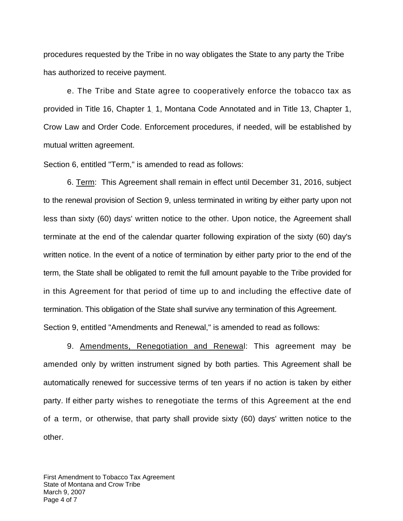procedures requested by the Tribe in no way obligates the State to any party the Tribe has authorized to receive payment.

e. The Tribe and State agree to cooperatively enforce the tobacco tax as provided in Title 16, Chapter 1 1, Montana Code Annotated and in Title 13, Chapter 1, . Crow Law and Order Code. Enforcement procedures, if needed, will be established by mutual written agreement.

Section 6, entitled "Term," is amended to read as follows:

6. Term: This Agreement shall remain in effect until December 31, 2016, subject to the renewal provision of Section 9, unless terminated in writing by either party upon not less than sixty (60) days' written notice to the other. Upon notice, the Agreement shall terminate at the end of the calendar quarter following expiration of the sixty (60) day's written notice. In the event of a notice of termination by either party prior to the end of the term, the State shall be obligated to remit the full amount payable to the Tribe provided for in this Agreement for that period of time up to and including the effective date of termination. This obligation of the State shall survive any termination of this Agreement. Section 9, entitled "Amendments and Renewal," is amended to read as follows:

9. Amendments, Renegotiation and Renewal: This agreement may be amended only by written instrument signed by both parties. This Agreement shall be automatically renewed for successive terms of ten years if no action is taken by either party. If either party wishes to renegotiate the terms of this Agreement at the end of a term, or otherwise, that party shall provide sixty (60) days' written notice to the other.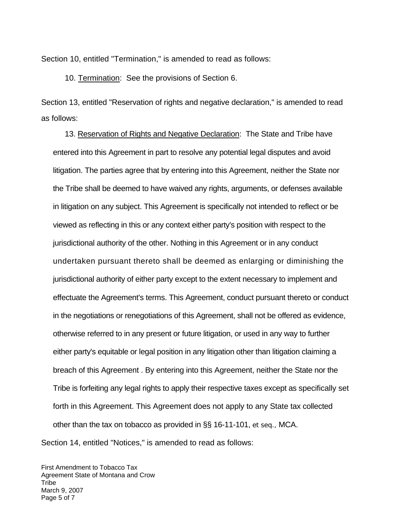Section 10, entitled "Termination," is amended to read as follows:

10. Termination: See the provisions of Section 6.

Section 13, entitled "Reservation of rights and negative declaration," is amended to read as follows:

13. Reservation of Rights and Negative Declaration: The State and Tribe have entered into this Agreement in part to resolve any potential legal disputes and avoid litigation. The parties agree that by entering into this Agreement, neither the State nor the Tribe shall be deemed to have waived any rights, arguments, or defenses available in litigation on any subject. This Agreement is specifically not intended to reflect or be viewed as reflecting in this or any context either party's position with respect to the jurisdictional authority of the other. Nothing in this Agreement or in any conduct undertaken pursuant thereto shall be deemed as enlarging or diminishing the jurisdictional authority of either party except to the extent necessary to implement and effectuate the Agreement's terms. This Agreement, conduct pursuant thereto or conduct in the negotiations or renegotiations of this Agreement, shall not be offered as evidence, otherwise referred to in any present or future litigation, or used in any way to further either party's equitable or legal position in any litigation other than litigation claiming a breach of this Agreement . By entering into this Agreement, neither the State nor the Tribe is forfeiting any legal rights to apply their respective taxes except as specifically set forth in this Agreement. This Agreement does not apply to any State tax collected other than the tax on tobacco as provided in §§ 16-11-101, *et seq.,* MCA. Section 14, entitled "Notices," is amended to read as follows:

First Amendment to Tobacco Tax Agreement State of Montana and Crow **Tribe** March 9, 2007 Page 5 of 7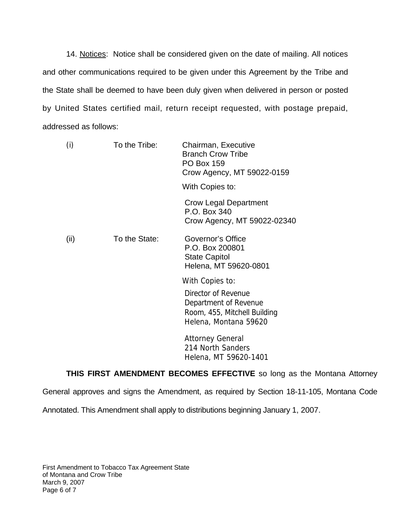14. Notices: Notice shall be considered given on the date of mailing. All notices and other communications required to be given under this Agreement by the Tribe and the State shall be deemed to have been duly given when delivered in person or posted by United States certified mail, return receipt requested, with postage prepaid, addressed as follows:

| (i)  | To the Tribe: | Chairman, Executive<br><b>Branch Crow Tribe</b><br><b>PO Box 159</b><br>Crow Agency, MT 59022-0159<br>With Copies to: |
|------|---------------|-----------------------------------------------------------------------------------------------------------------------|
|      |               | <b>Crow Legal Department</b><br>P.O. Box 340<br>Crow Agency, MT 59022-02340                                           |
| (ii) | To the State: | Governor's Office<br>P.O. Box 200801<br><b>State Capitol</b><br>Helena, MT 59620-0801                                 |
|      |               | With Copies to:                                                                                                       |
|      |               | Director of Revenue<br>Department of Revenue<br>Room, 455, Mitchell Building<br>Helena, Montana 59620                 |
|      |               | <b>Attorney General</b><br>214 North Sanders<br>Helena, MT 59620-1401                                                 |

**THIS FIRST AMENDMENT BECOMES EFFECTIVE** so long as the Montana Attorney

General approves and signs the Amendment, as required by Section 18-11-105, Montana Code

Annotated. This Amendment shall apply to distributions beginning January 1, 2007.

First Amendment to Tobacco Tax Agreement State of Montana and Crow Tribe March 9, 2007 Page 6 of 7